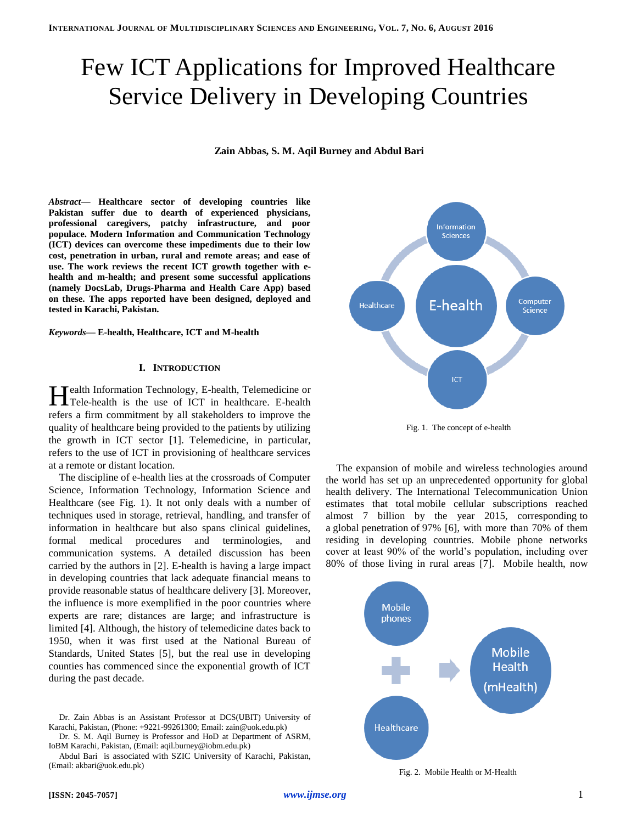# Few ICT Applications for Improved Healthcare Service Delivery in Developing Countries

**Zain Abbas, S. M. Aqil Burney and Abdul Bari**

*Abstract***— Healthcare sector of developing countries like Pakistan suffer due to dearth of experienced physicians, professional caregivers, patchy infrastructure, and poor populace. Modern Information and Communication Technology (ICT) devices can overcome these impediments due to their low cost, penetration in urban, rural and remote areas; and ease of use. The work reviews the recent ICT growth together with ehealth and m-health; and present some successful applications (namely DocsLab, Drugs-Pharma and Health Care App) based on these. The apps reported have been designed, deployed and tested in Karachi, Pakistan.** 

*Keywords—* **E-health, Healthcare, ICT and M-health**

#### **I. INTRODUCTION**

Tealth Information Technology, E-health, Telemedicine or Health Information Technology, E-health, Telemedicine or Tele-health is the use of ICT in healthcare. E-health refers a firm commitment by all stakeholders to improve the quality of healthcare being provided to the patients by utilizing the growth in ICT sector [1]. Telemedicine, in particular, refers to the use of ICT in provisioning of healthcare services at a remote or distant location.

The discipline of e-health lies at the crossroads of Computer Science, Information Technology, Information Science and Healthcare (see Fig. 1). It not only deals with a number of techniques used in storage, retrieval, handling, and transfer of information in healthcare but also spans clinical guidelines, formal medical procedures and terminologies, and communication systems. A detailed discussion has been carried by the authors in [2]. E-health is having a large impact in developing countries that lack adequate financial means to provide reasonable status of healthcare delivery [3]. Moreover, the influence is more exemplified in the poor countries where experts are rare; distances are large; and infrastructure is limited [4]. Although, the history of telemedicine dates back to 1950, when it was first used at the National Bureau of Standards, United States [5], but the real use in developing counties has commenced since the exponential growth of ICT during the past decade.

Dr. S. M. Aqil Burney is Professor and HoD at Department of ASRM, IoBM Karachi, Pakistan, (Email: aqil.burney@iobm.edu.pk)

Abdul Bari is associated with SZIC University of Karachi, Pakistan, (Email: akbari@uok.edu.pk)



Fig. 1. The concept of e-health

The expansion of mobile and wireless technologies around the world has set up an unprecedented opportunity for global health delivery. The International Telecommunication Union estimates that total mobile cellular subscriptions reached almost 7 billion by the year 2015, corresponding to a global penetration of 97% [6], with more than 70% of them residing in developing countries. Mobile phone networks cover at least 90% of the world's population, including over 80% of those living in rural areas [7]. Mobile health, now



Fig. 2. Mobile Health or M-Health

Dr. Zain Abbas is an Assistant Professor at DCS(UBIT) University of Karachi, Pakistan, (Phone: +9221-99261300; Email: zain@uok.edu.pk)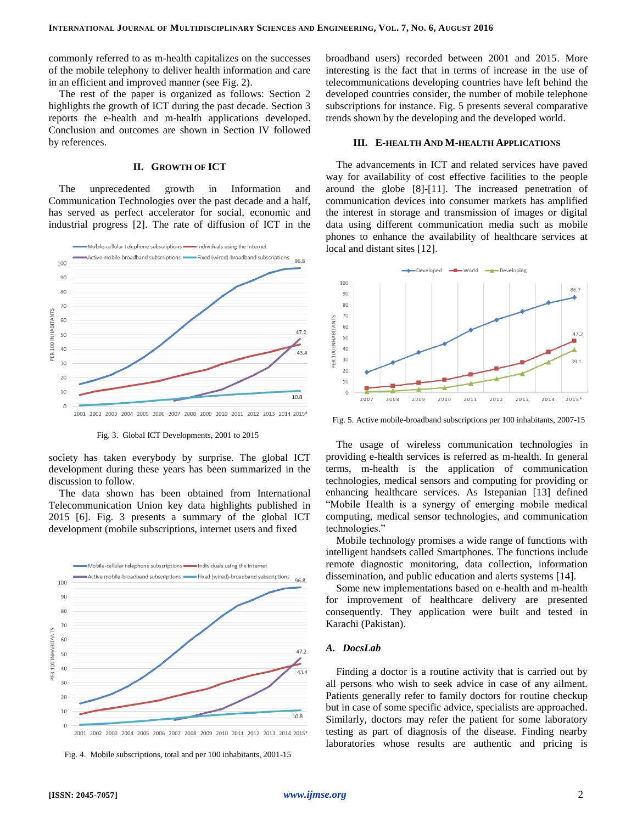commonly referred to as m-health capitalizes on the successes of the mobile telephony to deliver health information and care in an efficient and improved manner (see Fig. 2).

The rest of the paper is organized as follows: Section 2 highlights the growth of ICT during the past decade. Section 3 reports the e-health and m-health applications developed. Conclusion and outcomes are shown in Section IV followed by references.

### **II. GROWTH OF ICT**

The unprecedented growth in Information and Communication Technologies over the past decade and a half, has served as perfect accelerator for social, economic and industrial progress [2]. The rate of diffusion of ICT in the



Fig. 3. Global ICT Developments, 2001 to 2015

society has taken everybody by surprise. The global ICT development during these years has been summarized in the discussion to follow.

The data shown has been obtained from International Telecommunication Union key data highlights published in 2015 [6]. Fig. 3 presents a summary of the global ICT development (mobile subscriptions, internet users and fixed



Fig. 4. Mobile subscriptions, total and per 100 inhabitants, 2001-15

broadband users) recorded between 2001 and 2015. More interesting is the fact that in terms of increase in the use of telecommunications developing countries have left behind the developed countries consider, the number of mobile telephone subscriptions for instance. Fig. 5 presents several comparative trends shown by the developing and the developed world.

#### **III. E-HEALTH AND M-HEALTH APPLICATIONS**

The advancements in ICT and related services have paved way for availability of cost effective facilities to the people around the globe [8]-[11]. The increased penetration of communication devices into consumer markets has amplified the interest in storage and transmission of images or digital data using different communication media such as mobile phones to enhance the availability of healthcare services at local and distant sites [12].



Fig. 5. Active mobile-broadband subscriptions per 100 inhabitants, 2007-15

The usage of wireless communication technologies in providing e-health services is referred as m-health. In general terms, m-health is the application of communication technologies, medical sensors and computing for providing or enhancing healthcare services. As Istepanian [13] defined "Mobile Health is a synergy of emerging mobile medical computing, medical sensor technologies, and communication technologies."

Mobile technology promises a wide range of functions with intelligent handsets called Smartphones. The functions include remote diagnostic monitoring, data collection, information dissemination, and public education and alerts systems [14].

Some new implementations based on e-health and m-health for improvement of healthcare delivery are presented consequently. They application were built and tested in Karachi (Pakistan).

### *A. DocsLab*

Finding a doctor is a routine activity that is carried out by all persons who wish to seek advice in case of any ailment. Patients generally refer to family doctors for routine checkup but in case of some specific advice, specialists are approached. Similarly, doctors may refer the patient for some laboratory testing as part of diagnosis of the disease. Finding nearby laboratories whose results are authentic and pricing is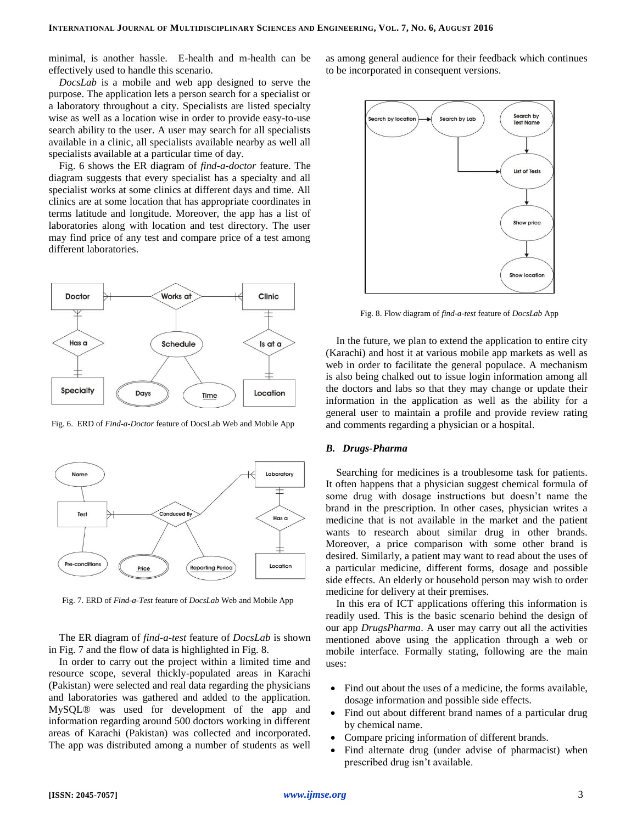minimal, is another hassle. E-health and m-health can be effectively used to handle this scenario.

*DocsLab* is a mobile and web app designed to serve the purpose. The application lets a person search for a specialist or a laboratory throughout a city. Specialists are listed specialty wise as well as a location wise in order to provide easy-to-use search ability to the user. A user may search for all specialists available in a clinic, all specialists available nearby as well all specialists available at a particular time of day.

Fig. 6 shows the ER diagram of *find-a-doctor* feature. The diagram suggests that every specialist has a specialty and all specialist works at some clinics at different days and time. All clinics are at some location that has appropriate coordinates in terms latitude and longitude. Moreover, the app has a list of laboratories along with location and test directory. The user may find price of any test and compare price of a test among different laboratories.



Fig. 6. ERD of *Find-a-Doctor* feature of DocsLab Web and Mobile App



Fig. 7. ERD of *Find-a-Test* feature of *DocsLab* Web and Mobile App

The ER diagram of *find-a-test* feature of *DocsLab* is shown in Fig. 7 and the flow of data is highlighted in Fig. 8.

In order to carry out the project within a limited time and resource scope, several thickly-populated areas in Karachi (Pakistan) were selected and real data regarding the physicians and laboratories was gathered and added to the application. MySQL® was used for development of the app and information regarding around 500 doctors working in different areas of Karachi (Pakistan) was collected and incorporated. The app was distributed among a number of students as well

as among general audience for their feedback which continues to be incorporated in consequent versions.



Fig. 8. Flow diagram of *find-a-test* feature of *DocsLab* App

In the future, we plan to extend the application to entire city (Karachi) and host it at various mobile app markets as well as web in order to facilitate the general populace. A mechanism is also being chalked out to issue login information among all the doctors and labs so that they may change or update their information in the application as well as the ability for a general user to maintain a profile and provide review rating and comments regarding a physician or a hospital.

#### *B. Drugs-Pharma*

Searching for medicines is a troublesome task for patients. It often happens that a physician suggest chemical formula of some drug with dosage instructions but doesn't name the brand in the prescription. In other cases, physician writes a medicine that is not available in the market and the patient wants to research about similar drug in other brands. Moreover, a price comparison with some other brand is desired. Similarly, a patient may want to read about the uses of a particular medicine, different forms, dosage and possible side effects. An elderly or household person may wish to order medicine for delivery at their premises.

In this era of ICT applications offering this information is readily used. This is the basic scenario behind the design of our app *DrugsPharma*. A user may carry out all the activities mentioned above using the application through a web or mobile interface. Formally stating, following are the main uses:

- Find out about the uses of a medicine, the forms available, dosage information and possible side effects.
- Find out about different brand names of a particular drug by chemical name.
- Compare pricing information of different brands.
- Find alternate drug (under advise of pharmacist) when prescribed drug isn't available.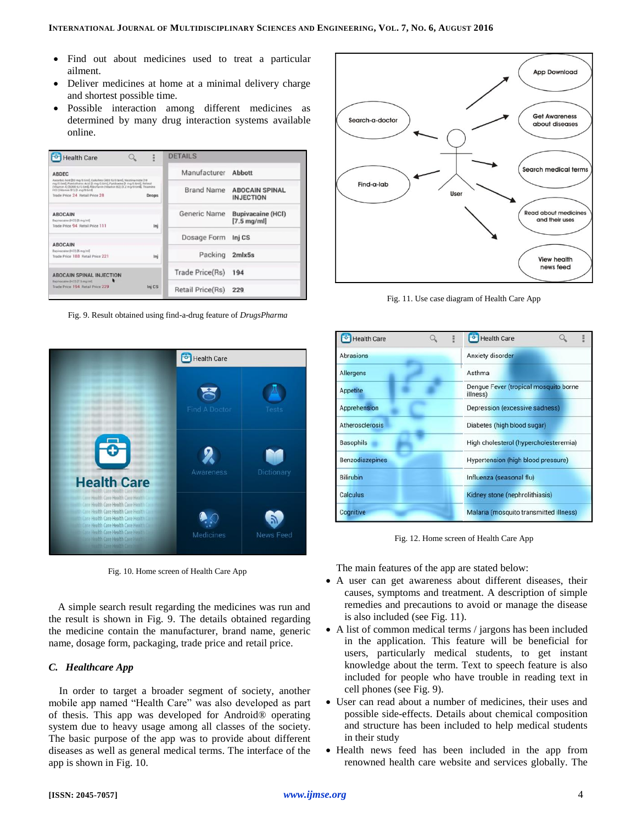- Find out about medicines used to treat a particular ailment.
- Deliver medicines at home at a minimal delivery charge and shortest possible time.
- Possible interaction among different medicines as determined by many drug interaction systems available online.

| <b>Health Care</b>                                                                                                                                                                                                                                                                                                                         | H      | <b>DETAILS</b>    |                                                   |
|--------------------------------------------------------------------------------------------------------------------------------------------------------------------------------------------------------------------------------------------------------------------------------------------------------------------------------------------|--------|-------------------|---------------------------------------------------|
| <b>ABDEC</b><br>Ascorbic Acid 350 mg/0.6mil. Calcilerol 5400 53/0.9mil. Nicolinamide [10]<br>mg/0.6ml), Pantothenic Acid [5 mg/0.6ml], Pyridoxine [1 mg/0.6ml], Retinol<br>(Vitamin A) [5000 EJ/O 6ml], Riboflavin (Vitamin B2) [1.2 mg/0 6ml], Thiamine<br>HCl (Vitamin 81) [1 mg/0.6mf<br>Trade Price 24 Retail Price 28<br><b>Drops</b> |        | Manufacturer      | Abbott                                            |
|                                                                                                                                                                                                                                                                                                                                            |        | <b>Brand Name</b> | <b>ABOCAIN SPINAL</b><br><b>INJECTION</b>         |
| <b>ABOCAIN</b><br>Bupivacaine (HCl) [5 mg/ml]<br>Trade Price 94 Retail Price 111                                                                                                                                                                                                                                                           | Ini    | Generic Name      | <b>Bupivacaine (HCI)</b><br>$[7.5 \text{ mg/ml}]$ |
| <b>ABOCAIN</b><br>Bupivacaine (HCI) [5 mg/ml]<br>Trade Price 188 Retail Price 221                                                                                                                                                                                                                                                          |        | Dosage Form       | Inj CS                                            |
|                                                                                                                                                                                                                                                                                                                                            | Ini    | Packing           | $2m$ <sub>k</sub> $5s$                            |
| <b>ABOCAIN SPINAL INJECTION</b><br>Bupiyacaine DICO (7.5 mg/ml)<br>Trade Price 194 Retail Price 229                                                                                                                                                                                                                                        |        | Trade Price(Rs)   | 194                                               |
|                                                                                                                                                                                                                                                                                                                                            | Ini CS | Retail Price(Rs)  | 229                                               |

Fig. 9. Result obtained using find-a-drug feature of *DrugsPharma*



Fig. 10. Home screen of Health Care App

A simple search result regarding the medicines was run and the result is shown in Fig. 9. The details obtained regarding the medicine contain the manufacturer, brand name, generic name, dosage form, packaging, trade price and retail price.

## *C. Healthcare App*

In order to target a broader segment of society, another mobile app named "Health Care" was also developed as part of thesis. This app was developed for Android® operating system due to heavy usage among all classes of the society. The basic purpose of the app was to provide about different diseases as well as general medical terms. The interface of the app is shown in Fig. 10.



Fig. 11. Use case diagram of Health Care App

| <b>Health Care</b>     | <b>Health Care</b><br>-0-1                        |  |  |
|------------------------|---------------------------------------------------|--|--|
| <b>Abrasions</b>       | Anxiety disorder                                  |  |  |
| <b>Allergens</b>       | Asthma                                            |  |  |
| <b>Appetite</b>        | Dengue Fever (tropical mosquito borne<br>illness) |  |  |
| Apprehension           | Depression (excessive sadness)                    |  |  |
| <b>Atherosclerosis</b> | Diabetes (high blood sugar)                       |  |  |
| <b>Basophils</b>       | High cholesterol (hypercholesteremia)             |  |  |
| <b>Benzodiazepines</b> | Hypertension (high blood pressure)                |  |  |
| <b>Bilirubin</b>       | Influenza (seasonal flu)                          |  |  |
| <b>Calculus</b>        | Kidney stone (nephrolithiasis)                    |  |  |
| Cognitive              | Malaria (mosquito transmitted illness)            |  |  |

Fig. 12. Home screen of Health Care App

The main features of the app are stated below:

- A user can get awareness about different diseases, their causes, symptoms and treatment. A description of simple remedies and precautions to avoid or manage the disease is also included (see Fig. 11).
- A list of common medical terms / jargons has been included in the application. This feature will be beneficial for users, particularly medical students, to get instant knowledge about the term. Text to speech feature is also included for people who have trouble in reading text in cell phones (see Fig. 9).
- User can read about a number of medicines, their uses and possible side-effects. Details about chemical composition and structure has been included to help medical students in their study
- Health news feed has been included in the app from renowned health care website and services globally. The